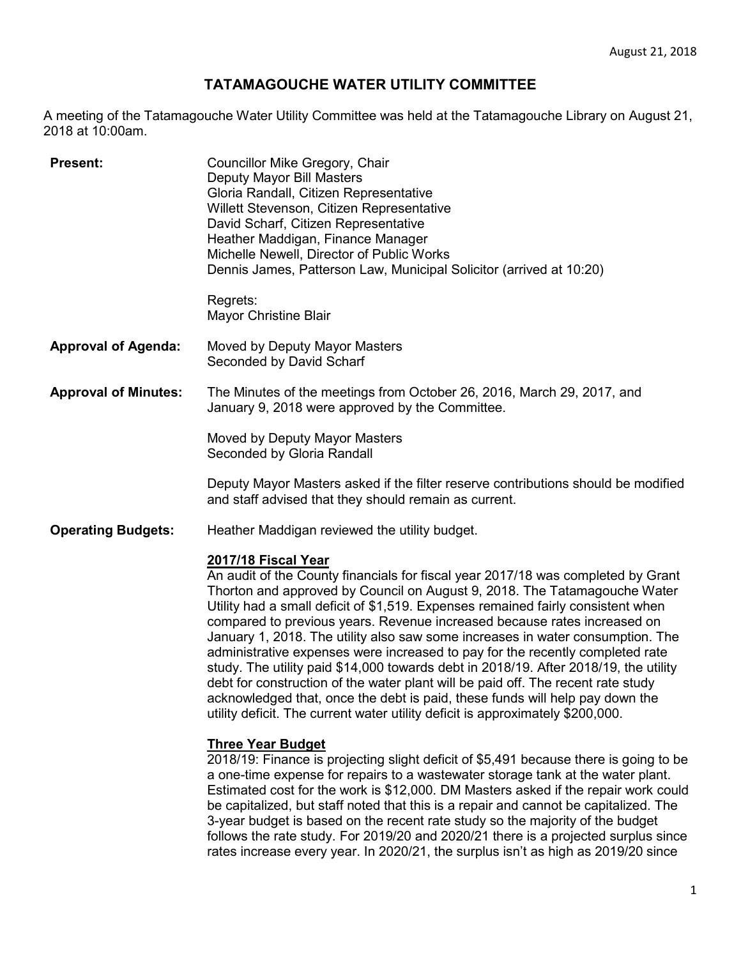## **TATAMAGOUCHE WATER UTILITY COMMITTEE**

A meeting of the Tatamagouche Water Utility Committee was held at the Tatamagouche Library on August 21, 2018 at 10:00am.

| <b>Present:</b>             | Councillor Mike Gregory, Chair<br>Deputy Mayor Bill Masters<br>Gloria Randall, Citizen Representative<br>Willett Stevenson, Citizen Representative<br>David Scharf, Citizen Representative<br>Heather Maddigan, Finance Manager<br>Michelle Newell, Director of Public Works<br>Dennis James, Patterson Law, Municipal Solicitor (arrived at 10:20)                                                                                                                                                                                                                                                                                                                                                                                                                                                                                                                   |
|-----------------------------|-----------------------------------------------------------------------------------------------------------------------------------------------------------------------------------------------------------------------------------------------------------------------------------------------------------------------------------------------------------------------------------------------------------------------------------------------------------------------------------------------------------------------------------------------------------------------------------------------------------------------------------------------------------------------------------------------------------------------------------------------------------------------------------------------------------------------------------------------------------------------|
|                             | Regrets:<br><b>Mayor Christine Blair</b>                                                                                                                                                                                                                                                                                                                                                                                                                                                                                                                                                                                                                                                                                                                                                                                                                              |
| <b>Approval of Agenda:</b>  | Moved by Deputy Mayor Masters<br>Seconded by David Scharf                                                                                                                                                                                                                                                                                                                                                                                                                                                                                                                                                                                                                                                                                                                                                                                                             |
| <b>Approval of Minutes:</b> | The Minutes of the meetings from October 26, 2016, March 29, 2017, and<br>January 9, 2018 were approved by the Committee.                                                                                                                                                                                                                                                                                                                                                                                                                                                                                                                                                                                                                                                                                                                                             |
|                             | Moved by Deputy Mayor Masters<br>Seconded by Gloria Randall                                                                                                                                                                                                                                                                                                                                                                                                                                                                                                                                                                                                                                                                                                                                                                                                           |
|                             | Deputy Mayor Masters asked if the filter reserve contributions should be modified<br>and staff advised that they should remain as current.                                                                                                                                                                                                                                                                                                                                                                                                                                                                                                                                                                                                                                                                                                                            |
| <b>Operating Budgets:</b>   | Heather Maddigan reviewed the utility budget.                                                                                                                                                                                                                                                                                                                                                                                                                                                                                                                                                                                                                                                                                                                                                                                                                         |
|                             | 2017/18 Fiscal Year<br>An audit of the County financials for fiscal year 2017/18 was completed by Grant<br>Thorton and approved by Council on August 9, 2018. The Tatamagouche Water<br>Utility had a small deficit of \$1,519. Expenses remained fairly consistent when<br>compared to previous years. Revenue increased because rates increased on<br>January 1, 2018. The utility also saw some increases in water consumption. The<br>administrative expenses were increased to pay for the recently completed rate<br>study. The utility paid \$14,000 towards debt in 2018/19. After 2018/19, the utility<br>debt for construction of the water plant will be paid off. The recent rate study<br>acknowledged that, once the debt is paid, these funds will help pay down the<br>utility deficit. The current water utility deficit is approximately \$200,000. |
|                             | <b>Three Year Budget</b><br>2018/19: Finance is projecting slight deficit of \$5,491 because there is going to be<br>a one-time expense for repairs to a wastewater storage tank at the water plant.<br>Estimated cost for the work is \$12,000. DM Masters asked if the repair work could<br>a an italian al-bant ataffin atal de la telesión a manaix an al-agon at les constables al-Tha-                                                                                                                                                                                                                                                                                                                                                                                                                                                                          |